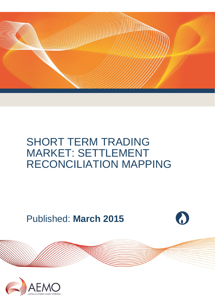

# SHORT TERM TRADING MARKET: SETTLEMENT RECONCILIATION MAPPING

Published: **March 2015**



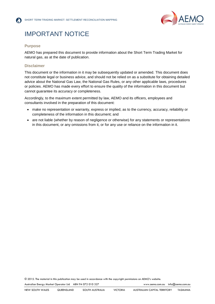

# IMPORTANT NOTICE

#### **Purpose**

AEMO has prepared this document to provide information about the Short Term Trading Market for natural gas, as at the date of publication.

#### **Disclaimer**

This document or the information in it may be subsequently updated or amended. This document does not constitute legal or business advice, and should not be relied on as a substitute for obtaining detailed advice about the National Gas Law, the National Gas Rules, or any other applicable laws, procedures or policies. AEMO has made every effort to ensure the quality of the information in this document but cannot guarantee its accuracy or completeness.

Accordingly, to the maximum extent permitted by law, AEMO and its officers, employees and consultants involved in the preparation of this document:

- make no representation or warranty, express or implied, as to the currency, accuracy, reliability or completeness of the information in this document; and
- are not liable (whether by reason of negligence or otherwise) for any statements or representations in this document, or any omissions from it, or for any use or reliance on the information in it.

© 2015. The material in this publication may be used in accordance with the [copyright permissions](http://www.aemo.com.au/en/About-AEMO/Copyright-Permissions) on AEMO's website.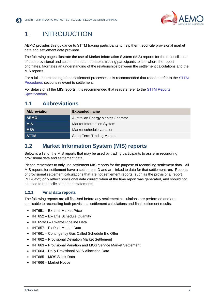

## 1. INTRODUCTION

AEMO provides this guidance to STTM trading participants to help them reconcile provisional market data and settlement data provided.

The following pages illustrate the use of Market Information System (MIS) reports for the reconciliation of both provisional and settlement data. It enables trading participants to see where the report originates, facilitates an understanding of the relationships between the settlement calculations and the MIS reports.

For a full understanding of the settlement processes, it is recommended that readers refer to the [STTM](http://www.aemo.com.au/Gas/Policies-and-Procedures/Short-Term-Trading-Markets/Rules-Procedures-and-Interface-Protocol)  [Procedures](http://www.aemo.com.au/Gas/Policies-and-Procedures/Short-Term-Trading-Markets/Rules-Procedures-and-Interface-Protocol) sections relevant to settlement.

For details of all the MIS reports, it is recommended that readers refer to the [STTM Reports](http://www.aemo.com.au/Gas/Policies-and-Procedures/Short-Term-Trading-Markets/Rules-Procedures-and-Interface-Protocol)  [Specifications.](http://www.aemo.com.au/Gas/Policies-and-Procedures/Short-Term-Trading-Markets/Rules-Procedures-and-Interface-Protocol)

#### **1.1 Abbreviations**

| <b>Abbreviation</b> | <b>Expanded name</b>              |
|---------------------|-----------------------------------|
| <b>AEMO</b>         | Australian Energy Market Operator |
| <b>MIS</b>          | <b>Market Information System</b>  |
| <b>MSV</b>          | Market schedule variation         |
| <b>STTM</b>         | <b>Short Term Trading Market</b>  |

#### **1.2 Market Information System (MIS) reports**

Below is a list of the MIS reports that may be used by trading participants to assist in reconciling provisional data and settlement data.

Please remember to only use settlement MIS reports for the purpose of reconciling settlement data. All MIS reports for settlement have a settlement ID and are linked to data for that settlement run. Reports of provisional settlement calculations that are not settlement reports (such as the provisional report INT704v2) only reflect provisional data current when at the time report was generated, and should not be used to reconcile settlement statements.

#### **1.2.1 Final data reports**

The following reports are all finalised before any settlement calculations are performed and are applicable to reconciling both provisional settlement calculations and final settlement results.

- INT651 Ex-ante Market Price
- INT652 Ex-ante Schedule Quantity
- INT653v3 Ex-ante Pipeline Data
- INT657 Ex Post Market Data
- INT661 Contingency Gas Called Schedule Bid Offer
- INT662 Provisional Deviation Market Settlement
- INT663 Provisional Variation and MOS Service Market Settlement
- INT664 Daily Provisional MOS Allocation Data
- INT665 MOS Stack Data
- INT666 Market Notice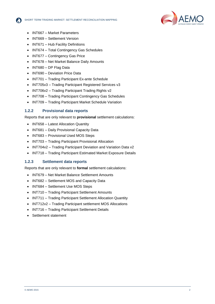



- INT667 Market Parameters
- INT669 Settlement Version
- INT671 Hub Facility Definitions
- INT674 Total Contingency Gas Schedules
- INT677 Contingency Gas Price
- INT678 Net Market Balance Daily Amounts
- INT680 DP Flag Data
- INT690 Deviation Price Data
- INT701 Trading Participant Ex-ante Schedule
- INT705v3 Trading Participant Registered Services v3
- INT706v2 Trading Participant Trading Rights v2
- INT708 Trading Participant Contingency Gas Schedules
- INT709 Trading Participant Market Schedule Variation

#### **1.2.2 Provisional data reports**

Reports that are only relevant to **provisional** settlement calculations:

- INT658 Latest Allocation Quantity
- INT681 Daily Provisional Capacity Data
- INT683 Provisional Used MOS Steps
- INT703 Trading Participant Provisional Allocation
- INT704v2 Trading Participant Deviation and Variation Data v2
- INT718 Trading Participant Estimated Market Exposure Details

#### **1.2.3 Settlement data reports**

Reports that are only relevant to **formal** settlement calculations:

- INT679 Net Market Balance Settlement Amounts
- INT682 Settlement MOS and Capacity Data
- INT684 Settlement Use MOS Steps
- INT710 Trading Participant Settlement Amounts
- INT711 Trading Participant Settlement Allocation Quantity
- INT712v2 Trading Participant settlement MOS Allocations
- INT716 Trading Participant Settlement Details
- Settlement statement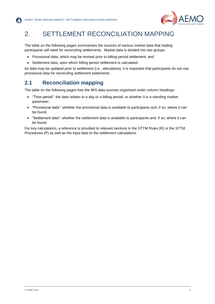

# 2. SETTLEMENT RECONCILIATION MAPPING

The table on the following pages summarises the sources of various market data that trading participants will need for reconciling settlements. Market data is divided into two groups:

- Provisional data, which may be revised prior to billing period settlement; and
- Settlement data, upon which billing period settlement is calculated.

As data may be updated prior to settlement (i.e., allocations), it is important that participants do not use provisional data for reconciling settlement statements.

### **2.1 Reconciliation mapping**

The table on the following pages lists the MIS data sources organised under column headings:

- "Time period": the data relates to a day or a billing period; or whether it is a standing market parameter.
- "Provisional data": whether the provisional data is available to participants and, if so, where it can be found.
- "Settlement data": whether the settlement data is available to participants and, if so, where it can be found.

For key calculations, a reference is provided to relevant sections in the STTM Rules (R) or the STTM Procedures (P) as well as the input data to the settlement calculations.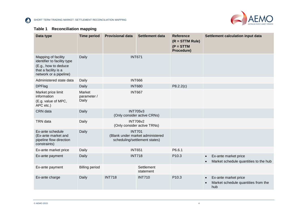$\Omega$ 

SHORT TERM TRADING MARKET: SETTLEMENT RECONCILIATION MAPPING



#### **Table 1 Reconciliation mapping**

| Data type                                                                                                                    | <b>Time period</b>             | <b>Provisional data</b>                                                            | <b>Settlement data</b>  | <b>Reference</b><br>$(R = STTM Rule)$<br>$(P = STTM)$<br>Procedure) | Settlement calculation input data                                               |
|------------------------------------------------------------------------------------------------------------------------------|--------------------------------|------------------------------------------------------------------------------------|-------------------------|---------------------------------------------------------------------|---------------------------------------------------------------------------------|
| Mapping of facility<br>identifier to facility type<br>(E.g., how to deduce<br>that a facility is a<br>network or a pipeline) | Daily                          | <b>INT671</b>                                                                      |                         |                                                                     |                                                                                 |
| Administered state data                                                                                                      | Daily                          |                                                                                    | <b>INT666</b>           |                                                                     |                                                                                 |
| <b>DPFlag</b>                                                                                                                | Daily                          |                                                                                    | <b>INT680</b>           | P8.2.2(c)                                                           |                                                                                 |
| Market price limit<br>information<br>(E.g. value of MPC,<br>APC etc.)                                                        | Market<br>parameter /<br>Daily | <b>INT667</b>                                                                      |                         |                                                                     |                                                                                 |
| CRN data                                                                                                                     | Daily                          | <b>INT705v3</b><br>(Only consider active CRNs)                                     |                         |                                                                     |                                                                                 |
| <b>TRN</b> data                                                                                                              | Daily                          | <b>INT706v2</b><br>(Only consider active TRNs)                                     |                         |                                                                     |                                                                                 |
| Ex-ante schedule<br>(Ex-ante market and<br>pipeline flow direction<br>constraints)                                           | Daily                          | <b>INT701</b><br>(Blank under market administered<br>scheduling/settlement states) |                         |                                                                     |                                                                                 |
| Ex-ante market price                                                                                                         | Daily                          |                                                                                    | <b>INT651</b>           | P6.6.1                                                              |                                                                                 |
| Ex-ante payment                                                                                                              | Daily                          | <b>INT718</b>                                                                      |                         | P10.3                                                               | Ex-ante market price<br>$\bullet$<br>Market schedule quantities to the hub      |
| Ex-ante payment                                                                                                              | <b>Billing period</b>          |                                                                                    | Settlement<br>statement |                                                                     |                                                                                 |
| Ex-ante charge                                                                                                               | Daily                          | <b>INT718</b>                                                                      | <b>INT710</b>           | P10.3                                                               | Ex-ante market price<br>$\bullet$<br>Market schedule quantities from the<br>hub |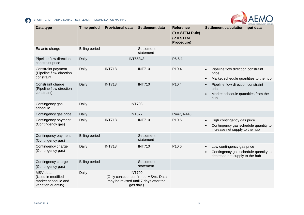

| Data type                                                                   | <b>Time period</b>    | <b>Provisional data</b> | <b>Settlement data</b>                                                                                     | <b>Reference</b><br>$(R = STTM Rule)$<br>$(P = STTM)$<br>Procedure) | Settlement calculation input data                                                                                              |
|-----------------------------------------------------------------------------|-----------------------|-------------------------|------------------------------------------------------------------------------------------------------------|---------------------------------------------------------------------|--------------------------------------------------------------------------------------------------------------------------------|
| Ex-ante charge                                                              | <b>Billing period</b> |                         | Settlement<br>statement                                                                                    |                                                                     |                                                                                                                                |
| Pipeline flow direction<br>constraint price                                 | Daily                 |                         | <b>INT653v3</b>                                                                                            | P6.6.1                                                              |                                                                                                                                |
| Constraint payment<br>(Pipeline flow direction<br>constraint)               | Daily                 | <b>INT718</b>           | <b>INT710</b>                                                                                              | P10.4                                                               | Pipeline flow direction constraint<br>$\bullet$<br>price<br>Market schedule quantities to the hub<br>$\bullet$                 |
| Constraint charge<br>(Pipeline flow direction<br>constraint)                | Daily                 | <b>INT718</b>           | <b>INT710</b>                                                                                              | P10.4                                                               | Pipeline flow direction constraint<br>$\bullet$<br>price<br>Market schedule quantities from the<br>hub                         |
| Contingency gas<br>schedule                                                 | Daily                 |                         | <b>INT708</b>                                                                                              |                                                                     |                                                                                                                                |
| Contingency gas price                                                       | Daily                 |                         | <b>INT677</b>                                                                                              | R447, R448                                                          |                                                                                                                                |
| Contingency payment<br>(Contingency gas)                                    | Daily                 | <b>INT718</b>           | <b>INT710</b>                                                                                              | P10.6                                                               | High contingency gas price<br>$\bullet$<br>Contingency gas schedule quantity to<br>$\bullet$<br>increase net supply to the hub |
| Contingency payment<br>(Contingency gas)                                    | <b>Billing period</b> |                         | Settlement<br>statement                                                                                    |                                                                     |                                                                                                                                |
| Contingency charge<br>(Contingency gas)                                     | Daily                 | <b>INT718</b>           | <b>INT710</b>                                                                                              | P10.6                                                               | Low contingency gas price<br>$\bullet$<br>Contingency gas schedule quantity to<br>$\bullet$<br>decrease net supply to the hub  |
| Contingency charge<br>(Contingency gas)                                     | <b>Billing period</b> |                         | Settlement<br>statement                                                                                    |                                                                     |                                                                                                                                |
| MSV data<br>(Used in modified<br>market schedule and<br>variation quantity) | Daily                 |                         | <b>INT709</b><br>(Only consider confirmed MSVs. Data<br>may be revised until 7 days after the<br>gas day.) |                                                                     |                                                                                                                                |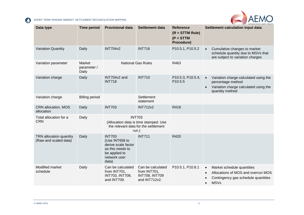

| Data type                                        | <b>Time period</b>             | <b>Provisional data</b>                                                                                              | <b>Settlement data</b>                                                                                  | <b>Reference</b><br>$(R = STTM Rule)$<br>$(P = STTM)$<br>Procedure) | Settlement calculation input data                                                                                                                |
|--------------------------------------------------|--------------------------------|----------------------------------------------------------------------------------------------------------------------|---------------------------------------------------------------------------------------------------------|---------------------------------------------------------------------|--------------------------------------------------------------------------------------------------------------------------------------------------|
| <b>Variation Quantity</b>                        | Daily                          | <b>INT704v2</b>                                                                                                      | <b>INT716</b>                                                                                           | P10.5.1, P10.5.2                                                    | Cumulative changes to market<br>schedule quantity due to MSVs that<br>are subject to variation charges                                           |
| Variation parameter                              | Market<br>parameter /<br>Daily |                                                                                                                      | <b>National Gas Rules</b>                                                                               | R463                                                                |                                                                                                                                                  |
| Variation charge                                 | Daily                          | INT704v2 and<br><b>INT718</b>                                                                                        | <b>INT710</b>                                                                                           | P10.5.3, P10.5.4,<br>P10.5.5                                        | Variation charge calculated using the<br>percentage method<br>Variation charge calculated using the<br>quantity method                           |
| Variation charge                                 | <b>Billing period</b>          |                                                                                                                      | Settlement<br>statement                                                                                 |                                                                     |                                                                                                                                                  |
| CRN allocation, MOS<br>allocation                | Daily                          | <b>INT703</b>                                                                                                        | <b>INT712v2</b>                                                                                         | R419                                                                |                                                                                                                                                  |
| Total allocation for a<br><b>CRN</b>             | Daily                          |                                                                                                                      | <b>INT703</b><br>(Allocation data is time stamped. Use<br>the relevant data for the settlement<br>run.) |                                                                     |                                                                                                                                                  |
| TRN allocation quantity<br>(Raw and scaled data) | Daily                          | <b>INT703</b><br>(Use INT658 to<br>derive scale factor<br>as this needs to<br>be applied to<br>network user<br>data) | <b>INT711</b>                                                                                           | R420                                                                |                                                                                                                                                  |
| Modified market<br>schedule                      | Daily                          | Can be calculated<br>from INT701,<br>INT703, INT708,<br>and INT709.                                                  | Can be calculated<br>from INT701,<br><b>INT708, INT709</b><br>and INT712v2.                             | P10.5.1, P10.8.1                                                    | Market schedule quantities<br>$\bullet$<br>Allocations of MOS and overrun MOS<br>Contingency gas schedule quantities<br><b>MSVs</b><br>$\bullet$ |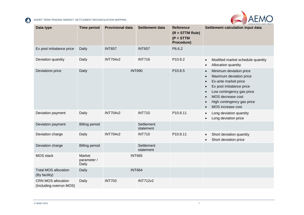

| Data type                                            | <b>Time period</b>             | <b>Provisional data</b> | <b>Settlement data</b>  | <b>Reference</b><br>$(R = STTM Rule)$<br>$(P = STTM)$<br>Procedure) | Settlement calculation input data                                                                                                                                                                                                                                                                                  |
|------------------------------------------------------|--------------------------------|-------------------------|-------------------------|---------------------------------------------------------------------|--------------------------------------------------------------------------------------------------------------------------------------------------------------------------------------------------------------------------------------------------------------------------------------------------------------------|
| Ex post imbalance price                              | Daily                          | <b>INT657</b>           | <b>INT657</b>           | P6.6.2                                                              |                                                                                                                                                                                                                                                                                                                    |
| Deviation quantity                                   | Daily                          | <b>INT704v2</b>         | <b>INT716</b>           | P10.8.2                                                             | Modified market schedule quantity<br>$\bullet$<br>Allocation quantity<br>$\bullet$                                                                                                                                                                                                                                 |
| Deviations price                                     | Daily                          | <b>INT690</b>           |                         | P10.8.5                                                             | Minimum deviation price<br>$\bullet$<br>Maximum deviation price<br>$\bullet$<br>Ex-ante market price<br>$\bullet$<br>Ex post imbalance price<br>$\bullet$<br>Low contingency gas price<br>$\bullet$<br>MOS decrease cost<br>$\bullet$<br>High contingency gas price<br>$\bullet$<br>MOS increase cost<br>$\bullet$ |
| Deviation payment                                    | Daily                          | <b>INT704v2</b>         | <b>INT710</b>           | P10.8.11                                                            | Long deviation quantity<br>$\bullet$<br>Long deviation price                                                                                                                                                                                                                                                       |
| Deviation payment                                    | <b>Billing period</b>          |                         | Settlement<br>statement |                                                                     |                                                                                                                                                                                                                                                                                                                    |
| Deviation charge                                     | Daily                          | <b>INT704v2</b>         | <b>INT710</b>           | P10.8.11                                                            | Short deviation quantity<br>$\bullet$<br>Short deviation price<br>$\bullet$                                                                                                                                                                                                                                        |
| Deviation charge                                     | <b>Billing period</b>          |                         | Settlement<br>statement |                                                                     |                                                                                                                                                                                                                                                                                                                    |
| <b>MOS</b> stack                                     | Market<br>parameter /<br>Daily | <b>INT665</b>           |                         |                                                                     |                                                                                                                                                                                                                                                                                                                    |
| <b>Total MOS allocation</b><br>(By facility)         | Daily                          |                         | <b>INT664</b>           |                                                                     |                                                                                                                                                                                                                                                                                                                    |
| <b>CRN MOS allocation</b><br>(Including overrun MOS) | Daily                          | <b>INT703</b>           | <b>INT712v2</b>         |                                                                     |                                                                                                                                                                                                                                                                                                                    |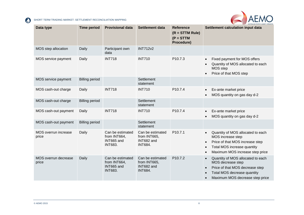

| Data type                     | <b>Time period</b>    | <b>Provisional data</b>                                          | <b>Settlement data</b>                                           | <b>Reference</b><br>$(R = STTM Rule)$<br>$(P = STTM)$<br>Procedure) | Settlement calculation input data                                                                                                                                                                               |
|-------------------------------|-----------------------|------------------------------------------------------------------|------------------------------------------------------------------|---------------------------------------------------------------------|-----------------------------------------------------------------------------------------------------------------------------------------------------------------------------------------------------------------|
| MOS step allocation           | Daily                 | Participant own<br>data                                          | <b>INT712v2</b>                                                  |                                                                     |                                                                                                                                                                                                                 |
| MOS service payment           | Daily                 | <b>INT718</b>                                                    | <b>INT710</b>                                                    | P <sub>10.7.3</sub>                                                 | Fixed payment for MOS offers<br>$\bullet$<br>Quantity of MOS allocated to each<br>$\bullet$<br>MOS step<br>Price of that MOS step<br>$\bullet$                                                                  |
| MOS service payment           | <b>Billing period</b> |                                                                  | Settlement<br>statement                                          |                                                                     |                                                                                                                                                                                                                 |
| MOS cash-out charge           | Daily                 | <b>INT718</b>                                                    | <b>INT710</b>                                                    | P10.7.4                                                             | Ex-ante market price<br>$\bullet$<br>MOS quantity on gas day d-2<br>$\bullet$                                                                                                                                   |
| MOS cash-out charge           | <b>Billing period</b> |                                                                  | Settlement<br>statement                                          |                                                                     |                                                                                                                                                                                                                 |
| MOS cash-out payment          | Daily                 | <b>INT718</b>                                                    | <b>INT710</b>                                                    | P10.7.4                                                             | Ex-ante market price<br>$\bullet$<br>MOS quantity on gas day d-2<br>$\bullet$                                                                                                                                   |
| MOS cash-out payment          | <b>Billing period</b> |                                                                  | Settlement<br>statement                                          |                                                                     |                                                                                                                                                                                                                 |
| MOS overrun increase<br>price | Daily                 | Can be estimated<br>from INT664,<br>INT665 and<br><b>INT683.</b> | Can be estimated<br>from INT665,<br>INT682 and<br><b>INT684.</b> | P10.7.1                                                             | Quantity of MOS allocated to each<br>$\bullet$<br>MOS increase step<br>Price of that MOS increase step<br>$\bullet$<br>Total MOS increase quantity<br>$\bullet$<br>Maximum MOS increase step price<br>$\bullet$ |
| MOS overrun decrease<br>price | Daily                 | Can be estimated<br>from INT664,<br>INT665 and<br><b>INT683.</b> | Can be estimated<br>from INT665,<br>INT682 and<br><b>INT684.</b> | P <sub>10.7.2</sub>                                                 | Quantity of MOS allocated to each<br>$\bullet$<br>MOS decrease step<br>Price of that MOS decrease step<br>$\bullet$<br>Total MOS decrease quantity<br>$\bullet$<br>Maximum MOS decrease step price<br>$\bullet$ |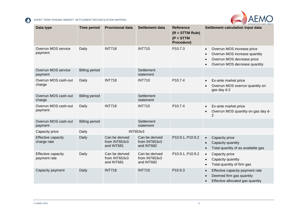

| Data type                          | <b>Time period</b>    | <b>Provisional data</b>                       | <b>Settlement data</b>                        | <b>Reference</b><br>$(R = STTM Rule)$<br>$(P = STTM)$<br>Procedure) | Settlement calculation input data                                                                                                                                 |
|------------------------------------|-----------------------|-----------------------------------------------|-----------------------------------------------|---------------------------------------------------------------------|-------------------------------------------------------------------------------------------------------------------------------------------------------------------|
| Overrun MOS service<br>payment     | Daily                 | <b>INT718</b>                                 | <b>INT710</b>                                 | P10.7.3                                                             | Overrun MOS increase price<br>$\bullet$<br>Overrun MOS increase quantity<br>$\bullet$<br>Overrun MOS decrease price<br>$\bullet$<br>Overrun MOS decrease quantity |
| Overrun MOS service<br>payment     | <b>Billing period</b> |                                               | Settlement<br>statement                       |                                                                     |                                                                                                                                                                   |
| Overrun MOS cash-out<br>charge     | Daily                 | <b>INT718</b>                                 | <b>INT710</b>                                 | P <sub>10.7.4</sub>                                                 | Ex-ante market price<br>$\bullet$<br>Overrun MOS overrun quantity on<br>gas day d-2                                                                               |
| Overrun MOS cash-out<br>charge     | <b>Billing period</b> |                                               | Settlement<br>statement                       |                                                                     |                                                                                                                                                                   |
| Overrun MOS cash-out<br>payment    | Daily                 | <b>INT718</b>                                 | <b>INT710</b>                                 | P10.7.4                                                             | Ex-ante market price<br>$\bullet$<br>Overrun MOS quantity on gas day d-<br>$\bullet$<br>2                                                                         |
| Overrun MOS cash-out<br>payment    | <b>Billing period</b> |                                               | Settlement<br>statement                       |                                                                     |                                                                                                                                                                   |
| Capacity price                     | Daily                 |                                               | <b>INT653v3</b>                               |                                                                     |                                                                                                                                                                   |
| Effective capacity<br>charge rate  | Daily                 | Can be derived<br>from INT653v3<br>and INT681 | Can be derived<br>from INT653v3<br>and INT682 | P10.9.1, P10.9.2                                                    | Capacity price<br>$\bullet$<br>Capacity quantity<br>$\bullet$<br>Total quantity of as available gas<br>$\bullet$                                                  |
| Effective capacity<br>payment rate | Daily                 | Can be derived<br>from INT653v3<br>and INT681 | Can be derived<br>from INT653v3<br>and INT682 | P10.9.1, P10.9.2                                                    | Capacity price<br>$\bullet$<br>Capacity quantity<br>$\bullet$<br>Total quantity of firm gas<br>$\bullet$                                                          |
| Capacity payment                   | Daily                 | <b>INT718</b>                                 | <b>INT710</b>                                 | P10.9.3                                                             | Effective capacity payment rate<br>$\bullet$<br>Deemed firm gas quantity<br>$\bullet$<br>Effective allocated gas quantity<br>$\bullet$                            |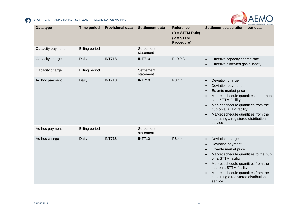

| Data type        | <b>Time period</b>    | <b>Provisional data</b> | <b>Settlement data</b>  | <b>Reference</b><br>$(R = STTM Rule)$<br>$(P = STTM)$<br>Procedure) | <b>AUSTRALIAN ENERGY MARKET OPERATOR</b><br>Settlement calculation input data                                                                                                                                                                                                                                                                                        |
|------------------|-----------------------|-------------------------|-------------------------|---------------------------------------------------------------------|----------------------------------------------------------------------------------------------------------------------------------------------------------------------------------------------------------------------------------------------------------------------------------------------------------------------------------------------------------------------|
| Capacity payment | <b>Billing period</b> |                         | Settlement<br>statement |                                                                     |                                                                                                                                                                                                                                                                                                                                                                      |
| Capacity charge  | Daily                 | <b>INT718</b>           | <b>INT710</b>           | P10.9.3                                                             | Effective capacity charge rate<br>$\bullet$<br>Effective allocated gas quantity                                                                                                                                                                                                                                                                                      |
| Capacity charge  | <b>Billing period</b> |                         | Settlement<br>statement |                                                                     |                                                                                                                                                                                                                                                                                                                                                                      |
| Ad hoc payment   | Daily                 | <b>INT718</b>           | <b>INT710</b>           | P8.4.4                                                              | Deviation charge<br>$\bullet$<br>Deviation payment<br>$\bullet$<br>Ex-ante market price<br>$\bullet$<br>Market schedule quantities to the hub<br>$\bullet$<br>on a STTM facility<br>Market schedule quantities from the<br>$\bullet$<br>hub on a STTM facility<br>Market schedule quantities from the<br>$\bullet$<br>hub using a registered distribution<br>service |
| Ad hoc payment   | <b>Billing period</b> |                         | Settlement<br>statement |                                                                     |                                                                                                                                                                                                                                                                                                                                                                      |
| Ad hoc charge    | Daily                 | <b>INT718</b>           | <b>INT710</b>           | P8.4.4                                                              | Deviation charge<br>$\bullet$<br>Deviation payment<br>$\bullet$<br>Ex-ante market price<br>$\bullet$<br>Market schedule quantities to the hub<br>$\bullet$<br>on a STTM facility<br>Market schedule quantities from the<br>$\bullet$<br>hub on a STTM facility<br>Market schedule quantities from the<br>$\bullet$<br>hub using a registered distribution<br>service |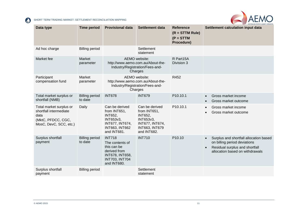

| Data type                                                                                                 | <b>Time period</b>               | <b>Provisional data</b>                                                                                                    | <b>Settlement data</b>                                                                                                   | Reference<br>$(R = STTM Rule)$<br>$(P = STTM)$<br>Procedure) | <b>WAY AUSTRALIAN ENERGY MARKET OPERATOR</b><br>Settlement calculation input data                                                                                     |
|-----------------------------------------------------------------------------------------------------------|----------------------------------|----------------------------------------------------------------------------------------------------------------------------|--------------------------------------------------------------------------------------------------------------------------|--------------------------------------------------------------|-----------------------------------------------------------------------------------------------------------------------------------------------------------------------|
| Ad hoc charge                                                                                             | <b>Billing period</b>            |                                                                                                                            | Settlement<br>statement                                                                                                  |                                                              |                                                                                                                                                                       |
| Market fee                                                                                                | Market<br>parameter              | AEMO website:<br>http://www.aemo.com.au/About-the-<br>Industry/Registration/Fees-and-<br>Charges                           |                                                                                                                          | R Part15A<br>Division 3                                      |                                                                                                                                                                       |
| Participant<br>compensation fund                                                                          | Market<br>parameter              |                                                                                                                            | AEMO website:<br>http://www.aemo.com.au/About-the-<br>Industry/Registration/Fees-and-<br>Charges                         | R452                                                         |                                                                                                                                                                       |
| Total market surplus or<br>shortfall (NMB)                                                                | <b>Billing period</b><br>to date | <b>INT678</b>                                                                                                              | <b>INT679</b>                                                                                                            | P10.10.1                                                     | Gross market income<br>$\bullet$<br>Gross market outcome                                                                                                              |
| Total market surplus or<br>shortfall intermediate<br>data<br>(MktC, PFDCC, CGC,<br>MosC, DevC, SCC, etc.) | Daily                            | Can be derived<br>from INT651,<br><b>INT652,</b><br>INT653v3,<br>INT677, INT674,<br><b>INT663, INT662</b><br>and INT681.   | Can be derived<br>from INT651,<br><b>INT652,</b><br>INT653v3,<br>INT677, INT674,<br><b>INT663, INT679</b><br>and INT682. | P10.10.1                                                     | Gross market income<br>$\bullet$<br>Gross market outcome                                                                                                              |
| Surplus shortfall<br>payment                                                                              | <b>Billing period</b><br>to date | <b>INT718</b><br>The contents of<br>this can be<br>derived from<br>INT678, INT658,<br><b>INT703, INT704</b><br>and INT680. | <b>INT710</b>                                                                                                            | P10.10                                                       | Surplus and shortfall allocation based<br>$\bullet$<br>on billing period deviations<br>Residual surplus and shortfall<br>$\bullet$<br>allocation based on withdrawals |
| Surplus shortfall<br>payment                                                                              | <b>Billing period</b>            |                                                                                                                            | Settlement<br>statement                                                                                                  |                                                              |                                                                                                                                                                       |